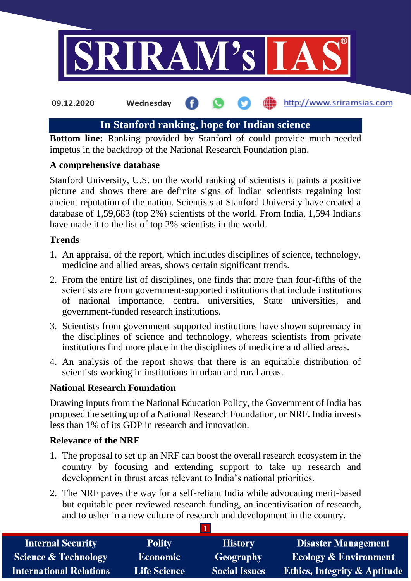

# **In Stanford ranking, hope for Indian science**

**Bottom line:** Ranking provided by Stanford of could provide much-needed impetus in the backdrop of the National Research Foundation plan.

## **A comprehensive database**

Stanford University, U.S. on the world ranking of scientists it paints a positive picture and shows there are definite signs of Indian scientists regaining lost ancient reputation of the nation. Scientists at Stanford University have created a database of 1,59,683 (top 2%) scientists of the world. From India, 1,594 Indians have made it to the list of top 2% scientists in the world.

## **Trends**

- 1. An appraisal of the report, which includes disciplines of science, technology, medicine and allied areas, shows certain significant trends.
- 2. From the entire list of disciplines, one finds that more than four-fifths of the scientists are from government-supported institutions that include institutions of national importance, central universities, State universities, and government-funded research institutions.
- 3. Scientists from government-supported institutions have shown supremacy in the disciplines of science and technology, whereas scientists from private institutions find more place in the disciplines of medicine and allied areas.
- 4. An analysis of the report shows that there is an equitable distribution of scientists working in institutions in urban and rural areas.

## **National Research Foundation**

Drawing inputs from the National Education Policy, the Government of India has proposed the setting up of a National Research Foundation, or NRF. India invests less than 1% of its GDP in research and innovation.

## **Relevance of the NRF**

- 1. The proposal to set up an NRF can boost the overall research ecosystem in the country by focusing and extending support to take up research and development in thrust areas relevant to India's national priorities.
- 2. The NRF paves the way for a self-reliant India while advocating merit-based but equitable peer-reviewed research funding, an incentivisation of research, and to usher in a new culture of research and development in the country.

| <b>Internal Security</b>        | <b>Polity</b>       | <b>History</b>       | <b>Disaster Management</b>              |
|---------------------------------|---------------------|----------------------|-----------------------------------------|
| <b>Science &amp; Technology</b> | <b>Economic</b>     | Geography            | <b>Ecology &amp; Environment</b>        |
| <b>International Relations</b>  | <b>Life Science</b> | <b>Social Issues</b> | <b>Ethics, Integrity &amp; Aptitude</b> |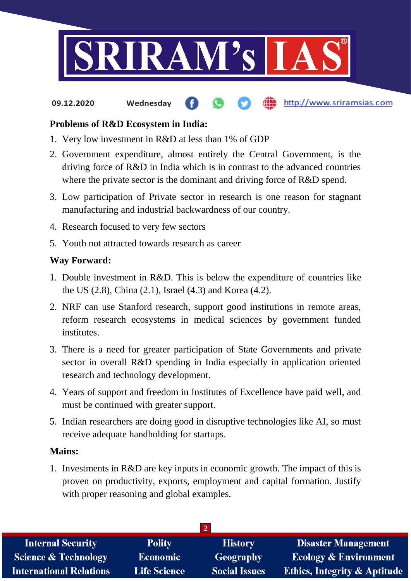

## **Problems of R&D Ecosystem in India:**

- 1. Very low investment in R&D at less than 1% of GDP
- 2. Government expenditure, almost entirely the Central Government, is the driving force of R&D in India which is in contrast to the advanced countries where the private sector is the dominant and driving force of R&D spend.
- 3. Low participation of Private sector in research is one reason for stagnant manufacturing and industrial backwardness of our country.
- 4. Research focused to very few sectors
- 5. Youth not attracted towards research as career

#### **Way Forward:**

- 1. Double investment in R&D. This is below the expenditure of countries like the US (2.8), China (2.1), Israel (4.3) and Korea (4.2).
- 2. NRF can use Stanford research, support good institutions in remote areas, reform research ecosystems in medical sciences by government funded institutes.
- 3. There is a need for greater participation of State Governments and private sector in overall R&D spending in India especially in application oriented research and technology development.
- 4. Years of support and freedom in Institutes of Excellence have paid well, and must be continued with greater support.
- 5. Indian researchers are doing good in disruptive technologies like AI, so must receive adequate handholding for startups.

#### **Mains:**

1. Investments in R&D are key inputs in economic growth. The impact of this is proven on productivity, exports, employment and capital formation. Justify with proper reasoning and global examples.

| <b>Internal Security</b>        | <b>Polity</b>       | <b>History</b>       | <b>Disaster Management</b>              |
|---------------------------------|---------------------|----------------------|-----------------------------------------|
| <b>Science &amp; Technology</b> | <b>Economic</b>     | Geography            | <b>Ecology &amp; Environment</b>        |
| <b>International Relations</b>  | <b>Life Science</b> | <b>Social Issues</b> | <b>Ethics, Integrity &amp; Aptitude</b> |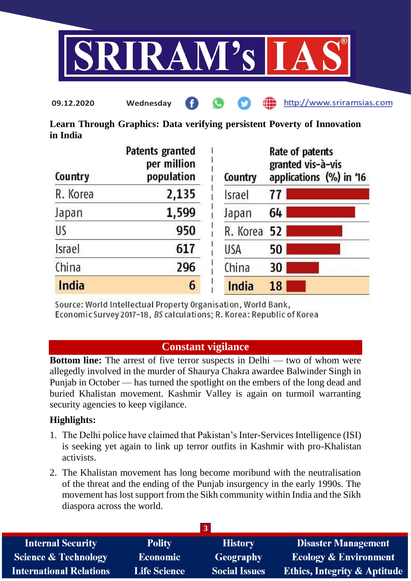

**Learn Through Graphics: Data verifying persistent Poverty of Innovation in India**

| Country       | Patents granted<br>per million<br>population | Country     | Rate of patents<br>granted vis-à-vis<br>applications (%) in '16 |
|---------------|----------------------------------------------|-------------|-----------------------------------------------------------------|
| R. Korea      | 2,135                                        | Israel      | 77                                                              |
| Japan         | 1,599                                        | Japan       | 64                                                              |
| US            | 950                                          | R. Korea 52 |                                                                 |
| <b>Israel</b> | 617                                          | USA         | 50                                                              |
| China         | 296                                          | China       | 30                                                              |
| India         | 6                                            | India       | 18                                                              |

Source: World Intellectual Property Organisation, World Bank, Economic Survey 2017-18, BS calculations; R. Korea: Republic of Korea

# **Constant vigilance**

**Bottom line:** The arrest of five terror suspects in Delhi — two of whom were allegedly involved in the murder of Shaurya Chakra awardee Balwinder Singh in Punjab in October — has turned the spotlight on the embers of the long dead and buried Khalistan movement. Kashmir Valley is again on turmoil warranting security agencies to keep vigilance.

## **Highlights:**

- 1. The Delhi police have claimed that Pakistan's Inter-Services Intelligence (ISI) is seeking yet again to link up terror outfits in Kashmir with pro-Khalistan activists.
- 2. The Khalistan movement has long become moribund with the neutralisation of the threat and the ending of the Punjab insurgency in the early 1990s. The movement has lost support from the Sikh community within India and the Sikh diaspora across the world.

| <b>Internal Security</b>        | <b>Polity</b>       | <b>History</b>       | <b>Disaster Management</b>              |  |
|---------------------------------|---------------------|----------------------|-----------------------------------------|--|
| <b>Science &amp; Technology</b> | <b>Economic</b>     | Geography            | <b>Ecology &amp; Environment</b>        |  |
| <b>International Relations</b>  | <b>Life Science</b> | <b>Social Issues</b> | <b>Ethics, Integrity &amp; Aptitude</b> |  |
|                                 |                     |                      |                                         |  |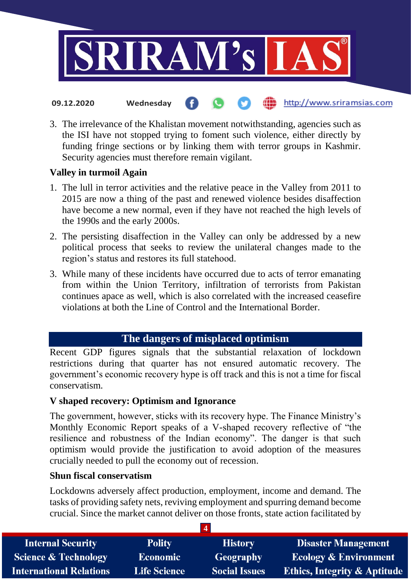

- the http://www.sriramsias.com **09.12.2020 Wednesday**
- 3. The irrelevance of the Khalistan movement notwithstanding, agencies such as the ISI have not stopped trying to foment such violence, either directly by funding fringe sections or by linking them with terror groups in Kashmir. Security agencies must therefore remain vigilant.

## **Valley in turmoil Again**

- 1. The lull in terror activities and the relative peace in the Valley from 2011 to 2015 are now a thing of the past and renewed violence besides disaffection have become a new normal, even if they have not reached the high levels of the 1990s and the early 2000s.
- 2. The persisting disaffection in the Valley can only be addressed by a new political process that seeks to review the unilateral changes made to the region's status and restores its full statehood.
- 3. While many of these incidents have occurred due to acts of terror emanating from within the Union Territory, infiltration of terrorists from Pakistan continues apace as well, which is also correlated with the increased ceasefire violations at both the Line of Control and the International Border.

# **The dangers of misplaced optimism**

Recent GDP figures signals that the substantial relaxation of lockdown restrictions during that quarter has not ensured automatic recovery. The government's economic recovery hype is off track and this is not a time for fiscal conservatism.

## **V shaped recovery: Optimism and Ignorance**

The government, however, sticks with its recovery hype. The Finance Ministry's Monthly Economic Report speaks of a V-shaped recovery reflective of "the resilience and robustness of the Indian economy". The danger is that such optimism would provide the justification to avoid adoption of the measures crucially needed to pull the economy out of recession.

## **Shun fiscal conservatism**

Lockdowns adversely affect production, employment, income and demand. The tasks of providing safety nets, reviving employment and spurring demand become crucial. Since the market cannot deliver on those fronts, state action facilitated by

**4**

| <b>Internal Security</b>        | <b>Polity</b>       | <b>History</b>       | <b>Disaster Management</b>              |
|---------------------------------|---------------------|----------------------|-----------------------------------------|
| <b>Science &amp; Technology</b> | <b>Economic</b>     | Geography            | <b>Ecology &amp; Environment</b>        |
| <b>International Relations</b>  | <b>Life Science</b> | <b>Social Issues</b> | <b>Ethics, Integrity &amp; Aptitude</b> |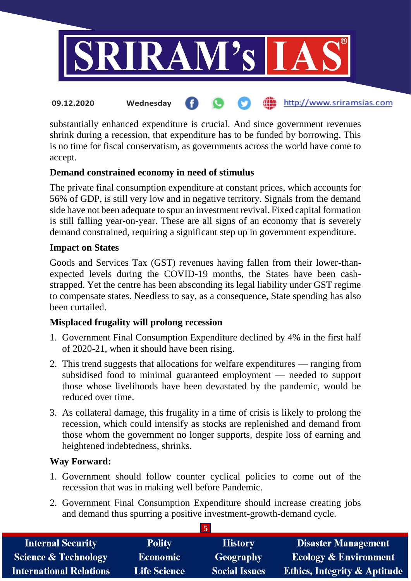

substantially enhanced expenditure is crucial. And since government revenues shrink during a recession, that expenditure has to be funded by borrowing. This is no time for fiscal conservatism, as governments across the world have come to accept.

## **Demand constrained economy in need of stimulus**

The private final consumption expenditure at constant prices, which accounts for 56% of GDP, is still very low and in negative territory. Signals from the demand side have not been adequate to spur an investment revival. Fixed capital formation is still falling year-on-year. These are all signs of an economy that is severely demand constrained, requiring a significant step up in government expenditure.

## **Impact on States**

Goods and Services Tax (GST) revenues having fallen from their lower-thanexpected levels during the COVID-19 months, the States have been cashstrapped. Yet the centre has been absconding its legal liability under GST regime to compensate states. Needless to say, as a consequence, State spending has also been curtailed.

## **Misplaced frugality will prolong recession**

- 1. Government Final Consumption Expenditure declined by 4% in the first half of 2020-21, when it should have been rising.
- 2. This trend suggests that allocations for welfare expenditures ranging from subsidised food to minimal guaranteed employment — needed to support those whose livelihoods have been devastated by the pandemic, would be reduced over time.
- 3. As collateral damage, this frugality in a time of crisis is likely to prolong the recession, which could intensify as stocks are replenished and demand from those whom the government no longer supports, despite loss of earning and heightened indebtedness, shrinks.

## **Way Forward:**

- 1. Government should follow counter cyclical policies to come out of the recession that was in making well before Pandemic.
- 2. Government Final Consumption Expenditure should increase creating jobs and demand thus spurring a positive investment-growth-demand cycle.

**5**

| <b>Internal Security</b>        | <b>Polity</b>       | <b>History</b>       | <b>Disaster Management</b>              |  |
|---------------------------------|---------------------|----------------------|-----------------------------------------|--|
| <b>Science &amp; Technology</b> | <b>Economic</b>     | Geography            | <b>Ecology &amp; Environment</b>        |  |
| <b>International Relations</b>  | <b>Life Science</b> | <b>Social Issues</b> | <b>Ethics, Integrity &amp; Aptitude</b> |  |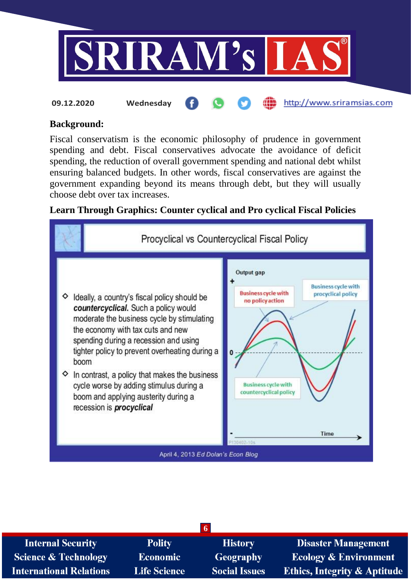

#### **Background:**

Fiscal conservatism is the economic philosophy of prudence in government spending and debt. Fiscal conservatives advocate the avoidance of deficit spending, the reduction of overall government spending and national debt whilst ensuring balanced budgets. In other words, fiscal conservatives are against the government expanding beyond its means through debt, but they will usually choose debt over tax increases.

## **Learn Through Graphics: Counter cyclical and Pro cyclical Fiscal Policies**



| <b>Internal Security</b>        | <b>Polity</b>       | <b>History</b>       | <b>Disaster Management</b>              |
|---------------------------------|---------------------|----------------------|-----------------------------------------|
| <b>Science &amp; Technology</b> | <b>Economic</b>     | <b>Geography</b>     | <b>Ecology &amp; Environment</b>        |
| <b>International Relations</b>  | <b>Life Science</b> | <b>Social Issues</b> | <b>Ethics, Integrity &amp; Aptitude</b> |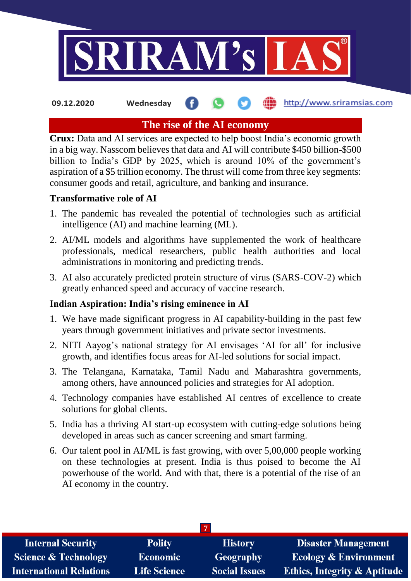

**09.12.2020 Wednesday**

## **fin** http://www.sriramsias.com

# **The rise of the AI economy**

**Crux:** Data and AI services are expected to help boost India's economic growth in a big way. Nasscom believes that data and AI will contribute \$450 billion-\$500 billion to India's GDP by 2025, which is around 10% of the government's aspiration of a \$5 trillion economy. The thrust will come from three key segments: consumer goods and retail, agriculture, and banking and insurance.

## **Transformative role of AI**

- 1. The pandemic has revealed the potential of technologies such as artificial intelligence (AI) and machine learning (ML).
- 2. AI/ML models and algorithms have supplemented the work of healthcare professionals, medical researchers, public health authorities and local administrations in monitoring and predicting trends.
- 3. AI also accurately predicted protein structure of virus (SARS-COV-2) which greatly enhanced speed and accuracy of vaccine research.

# **Indian Aspiration: India's rising eminence in AI**

- 1. We have made significant progress in AI capability-building in the past few years through government initiatives and private sector investments.
- 2. NITI Aayog's national strategy for AI envisages 'AI for all' for inclusive growth, and identifies focus areas for AI-led solutions for social impact.
- 3. The Telangana, Karnataka, Tamil Nadu and Maharashtra governments, among others, have announced policies and strategies for AI adoption.
- 4. Technology companies have established AI centres of excellence to create solutions for global clients.
- 5. India has a thriving AI start-up ecosystem with cutting-edge solutions being developed in areas such as cancer screening and smart farming.
- 6. Our talent pool in AI/ML is fast growing, with over 5,00,000 people working on these technologies at present. India is thus poised to become the AI powerhouse of the world. And with that, there is a potential of the rise of an AI economy in the country.

| <b>Internal Security</b>        | <b>Polity</b>       | <b>History</b>       | <b>Disaster Management</b>              |  |
|---------------------------------|---------------------|----------------------|-----------------------------------------|--|
| <b>Science &amp; Technology</b> | <b>Economic</b>     | Geography            | <b>Ecology &amp; Environment</b>        |  |
| <b>International Relations</b>  | <b>Life Science</b> | <b>Social Issues</b> | <b>Ethics, Integrity &amp; Aptitude</b> |  |